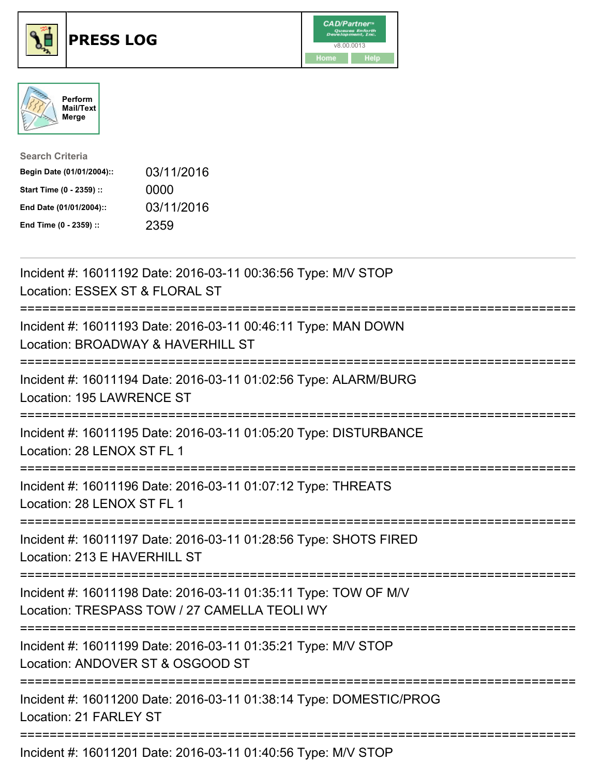





| <b>Search Criteria</b>    |            |
|---------------------------|------------|
| Begin Date (01/01/2004):: | 03/11/2016 |
| Start Time (0 - 2359) ::  | 0000       |
| End Date (01/01/2004)::   | 03/11/2016 |
| End Time (0 - 2359) ::    | 2359       |

| Incident #: 16011192 Date: 2016-03-11 00:36:56 Type: M/V STOP<br>Location: ESSEX ST & FLORAL ST                                                                     |
|---------------------------------------------------------------------------------------------------------------------------------------------------------------------|
| Incident #: 16011193 Date: 2016-03-11 00:46:11 Type: MAN DOWN<br>Location: BROADWAY & HAVERHILL ST                                                                  |
| Incident #: 16011194 Date: 2016-03-11 01:02:56 Type: ALARM/BURG<br>Location: 195 LAWRENCE ST                                                                        |
| Incident #: 16011195 Date: 2016-03-11 01:05:20 Type: DISTURBANCE<br>Location: 28 LENOX ST FL 1                                                                      |
| Incident #: 16011196 Date: 2016-03-11 01:07:12 Type: THREATS<br>Location: 28 LENOX ST FL 1                                                                          |
| Incident #: 16011197 Date: 2016-03-11 01:28:56 Type: SHOTS FIRED<br>Location: 213 E HAVERHILL ST<br>;=======================<br>=================================== |
| Incident #: 16011198 Date: 2016-03-11 01:35:11 Type: TOW OF M/V<br>Location: TRESPASS TOW / 27 CAMELLA TEOLI WY<br>==================================               |
| Incident #: 16011199 Date: 2016-03-11 01:35:21 Type: M/V STOP<br>Location: ANDOVER ST & OSGOOD ST                                                                   |
| ---------------------------<br>Incident #: 16011200 Date: 2016-03-11 01:38:14 Type: DOMESTIC/PROG<br>Location: 21 FARLEY ST                                         |
| Incident #: 16011201 Date: 2016-03-11 01:40:56 Type: M/V STOP                                                                                                       |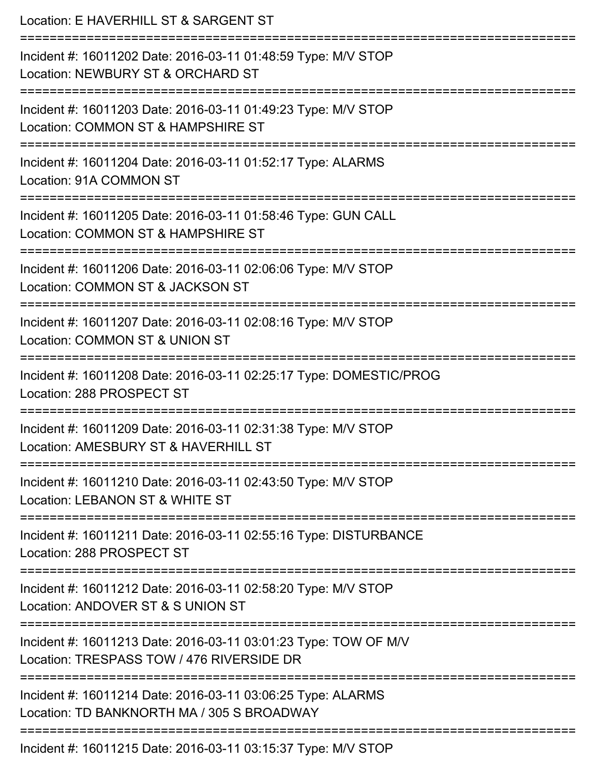| Location: E HAVERHILL ST & SARGENT ST                                                                                               |
|-------------------------------------------------------------------------------------------------------------------------------------|
| Incident #: 16011202 Date: 2016-03-11 01:48:59 Type: M/V STOP<br>Location: NEWBURY ST & ORCHARD ST<br>============================= |
| Incident #: 16011203 Date: 2016-03-11 01:49:23 Type: M/V STOP<br>Location: COMMON ST & HAMPSHIRE ST                                 |
| Incident #: 16011204 Date: 2016-03-11 01:52:17 Type: ALARMS<br>Location: 91A COMMON ST                                              |
| Incident #: 16011205 Date: 2016-03-11 01:58:46 Type: GUN CALL<br>Location: COMMON ST & HAMPSHIRE ST                                 |
| Incident #: 16011206 Date: 2016-03-11 02:06:06 Type: M/V STOP<br>Location: COMMON ST & JACKSON ST<br>=============================  |
| Incident #: 16011207 Date: 2016-03-11 02:08:16 Type: M/V STOP<br>Location: COMMON ST & UNION ST                                     |
| Incident #: 16011208 Date: 2016-03-11 02:25:17 Type: DOMESTIC/PROG<br>Location: 288 PROSPECT ST                                     |
| Incident #: 16011209 Date: 2016-03-11 02:31:38 Type: M/V STOP<br>Location: AMESBURY ST & HAVERHILL ST                               |
| Incident #: 16011210 Date: 2016-03-11 02:43:50 Type: M/V STOP<br>Location: LEBANON ST & WHITE ST                                    |
| Incident #: 16011211 Date: 2016-03-11 02:55:16 Type: DISTURBANCE<br>Location: 288 PROSPECT ST                                       |
| -----------------------<br>Incident #: 16011212 Date: 2016-03-11 02:58:20 Type: M/V STOP<br>Location: ANDOVER ST & S UNION ST       |
| Incident #: 16011213 Date: 2016-03-11 03:01:23 Type: TOW OF M/V<br>Location: TRESPASS TOW / 476 RIVERSIDE DR                        |
| Incident #: 16011214 Date: 2016-03-11 03:06:25 Type: ALARMS<br>Location: TD BANKNORTH MA / 305 S BROADWAY                           |
| Incident #: 16011215 Date: 2016-03-11 03:15:37 Type: M/V STOP                                                                       |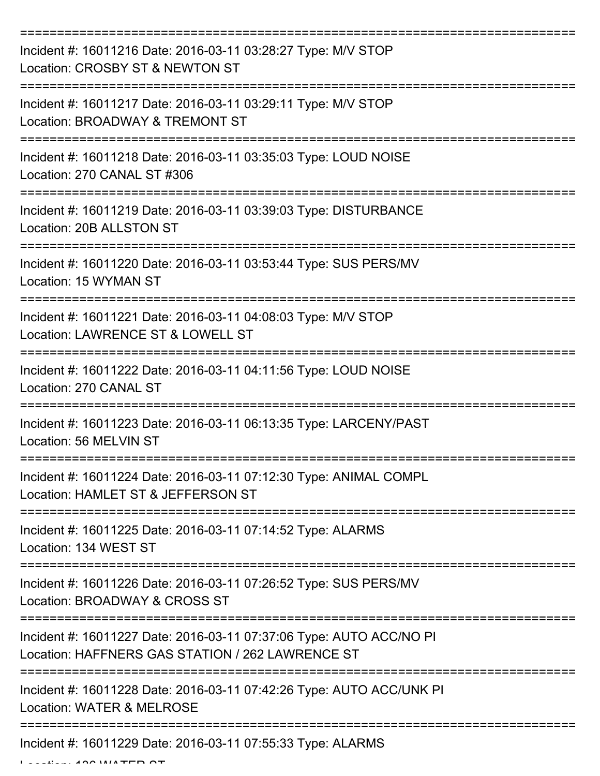| Incident #: 16011216 Date: 2016-03-11 03:28:27 Type: M/V STOP<br>Location: CROSBY ST & NEWTON ST                        |
|-------------------------------------------------------------------------------------------------------------------------|
| Incident #: 16011217 Date: 2016-03-11 03:29:11 Type: M/V STOP<br>Location: BROADWAY & TREMONT ST                        |
| Incident #: 16011218 Date: 2016-03-11 03:35:03 Type: LOUD NOISE<br>Location: 270 CANAL ST #306                          |
| Incident #: 16011219 Date: 2016-03-11 03:39:03 Type: DISTURBANCE<br>Location: 20B ALLSTON ST                            |
| Incident #: 16011220 Date: 2016-03-11 03:53:44 Type: SUS PERS/MV<br>Location: 15 WYMAN ST                               |
| Incident #: 16011221 Date: 2016-03-11 04:08:03 Type: M/V STOP<br>Location: LAWRENCE ST & LOWELL ST                      |
| Incident #: 16011222 Date: 2016-03-11 04:11:56 Type: LOUD NOISE<br>Location: 270 CANAL ST                               |
| Incident #: 16011223 Date: 2016-03-11 06:13:35 Type: LARCENY/PAST<br>Location: 56 MELVIN ST                             |
| Incident #: 16011224 Date: 2016-03-11 07:12:30 Type: ANIMAL COMPL<br>Location: HAMLET ST & JEFFERSON ST                 |
| Incident #: 16011225 Date: 2016-03-11 07:14:52 Type: ALARMS<br>Location: 134 WEST ST                                    |
| Incident #: 16011226 Date: 2016-03-11 07:26:52 Type: SUS PERS/MV<br>Location: BROADWAY & CROSS ST                       |
| Incident #: 16011227 Date: 2016-03-11 07:37:06 Type: AUTO ACC/NO PI<br>Location: HAFFNERS GAS STATION / 262 LAWRENCE ST |
| Incident #: 16011228 Date: 2016-03-11 07:42:26 Type: AUTO ACC/UNK PI<br>Location: WATER & MELROSE                       |
| ------------------------------------<br>Incident #: 16011229 Date: 2016-03-11 07:55:33 Type: ALARMS                     |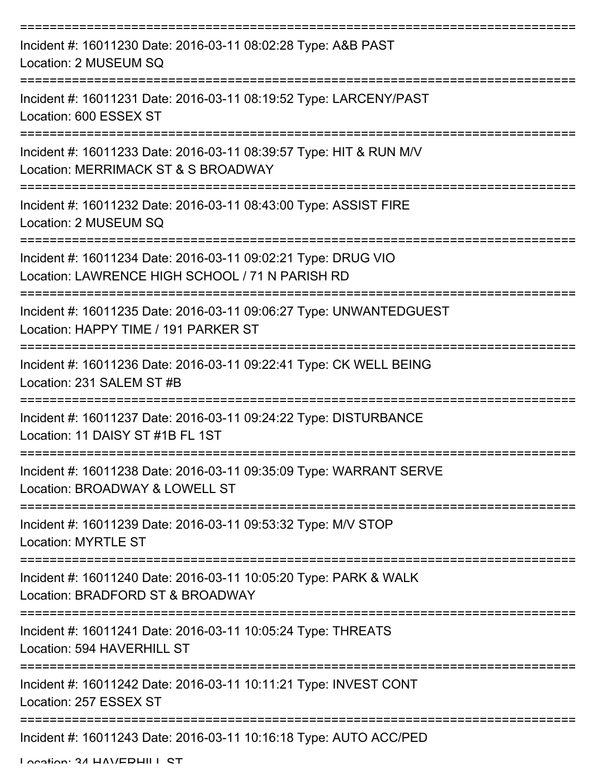| Incident #: 16011230 Date: 2016-03-11 08:02:28 Type: A&B PAST<br>Location: 2 MUSEUM SQ                           |
|------------------------------------------------------------------------------------------------------------------|
| Incident #: 16011231 Date: 2016-03-11 08:19:52 Type: LARCENY/PAST<br>Location: 600 ESSEX ST                      |
| Incident #: 16011233 Date: 2016-03-11 08:39:57 Type: HIT & RUN M/V<br>Location: MERRIMACK ST & S BROADWAY        |
| Incident #: 16011232 Date: 2016-03-11 08:43:00 Type: ASSIST FIRE<br>Location: 2 MUSEUM SQ                        |
| Incident #: 16011234 Date: 2016-03-11 09:02:21 Type: DRUG VIO<br>Location: LAWRENCE HIGH SCHOOL / 71 N PARISH RD |
| Incident #: 16011235 Date: 2016-03-11 09:06:27 Type: UNWANTEDGUEST<br>Location: HAPPY TIME / 191 PARKER ST       |
| Incident #: 16011236 Date: 2016-03-11 09:22:41 Type: CK WELL BEING<br>Location: 231 SALEM ST #B                  |
| Incident #: 16011237 Date: 2016-03-11 09:24:22 Type: DISTURBANCE<br>Location: 11 DAISY ST #1B FL 1ST             |
| Incident #: 16011238 Date: 2016-03-11 09:35:09 Type: WARRANT SERVE<br>Location: BROADWAY & LOWELL ST             |
| Incident #: 16011239 Date: 2016-03-11 09:53:32 Type: M/V STOP<br><b>Location: MYRTLE ST</b>                      |
| Incident #: 16011240 Date: 2016-03-11 10:05:20 Type: PARK & WALK<br>Location: BRADFORD ST & BROADWAY             |
| Incident #: 16011241 Date: 2016-03-11 10:05:24 Type: THREATS<br>Location: 594 HAVERHILL ST                       |
| Incident #: 16011242 Date: 2016-03-11 10:11:21 Type: INVEST CONT<br>Location: 257 ESSEX ST                       |
| Incident #: 16011243 Date: 2016-03-11 10:16:18 Type: AUTO ACC/PED                                                |

Location: 34 HAVEDHILL CT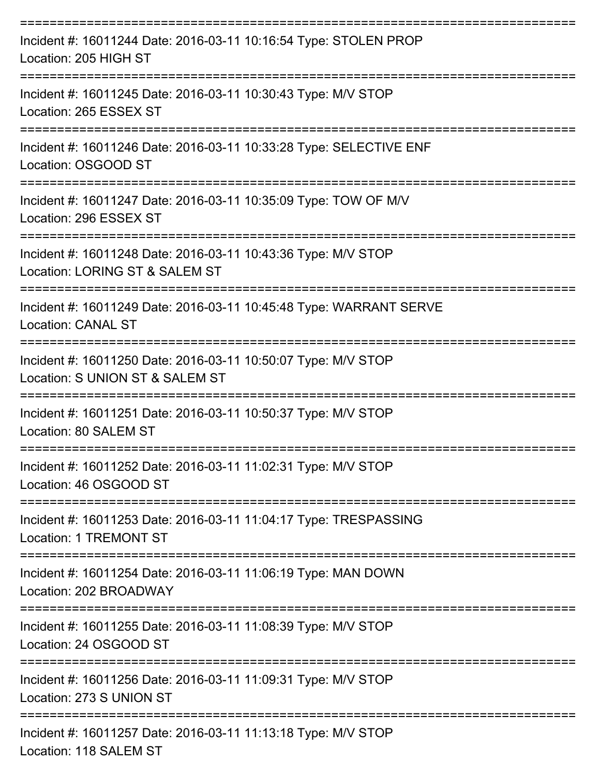| Incident #: 16011244 Date: 2016-03-11 10:16:54 Type: STOLEN PROP<br>Location: 205 HIGH ST         |
|---------------------------------------------------------------------------------------------------|
| Incident #: 16011245 Date: 2016-03-11 10:30:43 Type: M/V STOP<br>Location: 265 ESSEX ST           |
| Incident #: 16011246 Date: 2016-03-11 10:33:28 Type: SELECTIVE ENF<br>Location: OSGOOD ST         |
| Incident #: 16011247 Date: 2016-03-11 10:35:09 Type: TOW OF M/V<br>Location: 296 ESSEX ST         |
| Incident #: 16011248 Date: 2016-03-11 10:43:36 Type: M/V STOP<br>Location: LORING ST & SALEM ST   |
| Incident #: 16011249 Date: 2016-03-11 10:45:48 Type: WARRANT SERVE<br><b>Location: CANAL ST</b>   |
| Incident #: 16011250 Date: 2016-03-11 10:50:07 Type: M/V STOP<br>Location: S UNION ST & SALEM ST  |
| Incident #: 16011251 Date: 2016-03-11 10:50:37 Type: M/V STOP<br>Location: 80 SALEM ST            |
| Incident #: 16011252 Date: 2016-03-11 11:02:31 Type: M/V STOP<br>Location: 46 OSGOOD ST           |
| Incident #: 16011253 Date: 2016-03-11 11:04:17 Type: TRESPASSING<br><b>Location: 1 TREMONT ST</b> |
| Incident #: 16011254 Date: 2016-03-11 11:06:19 Type: MAN DOWN<br>Location: 202 BROADWAY           |
| Incident #: 16011255 Date: 2016-03-11 11:08:39 Type: M/V STOP<br>Location: 24 OSGOOD ST           |
| Incident #: 16011256 Date: 2016-03-11 11:09:31 Type: M/V STOP<br>Location: 273 S UNION ST         |
| Incident #: 16011257 Date: 2016-03-11 11:13:18 Type: M/V STOP<br>Location: 118 SALEM ST           |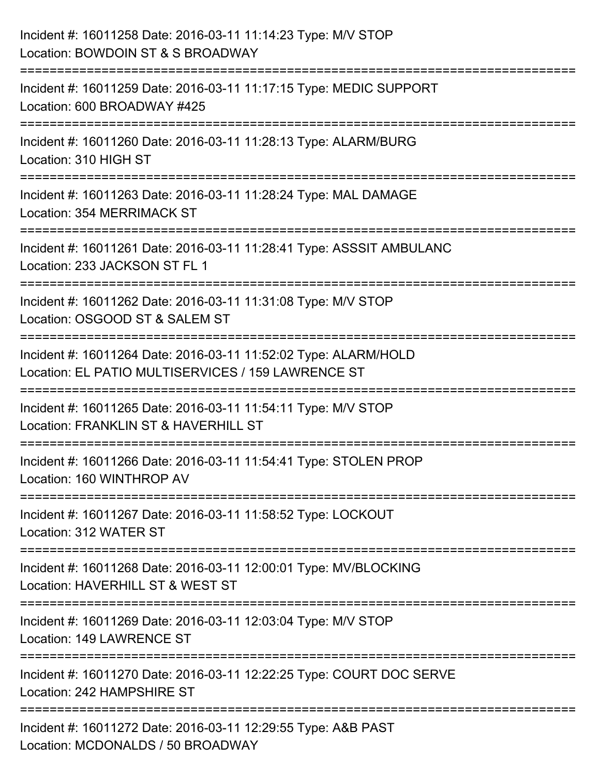| Incident #: 16011258 Date: 2016-03-11 11:14:23 Type: M/V STOP<br>Location: BOWDOIN ST & S BROADWAY                                                 |
|----------------------------------------------------------------------------------------------------------------------------------------------------|
| .=====================================<br>Incident #: 16011259 Date: 2016-03-11 11:17:15 Type: MEDIC SUPPORT<br>Location: 600 BROADWAY #425        |
| Incident #: 16011260 Date: 2016-03-11 11:28:13 Type: ALARM/BURG<br>Location: 310 HIGH ST<br>=================================                      |
| Incident #: 16011263 Date: 2016-03-11 11:28:24 Type: MAL DAMAGE<br><b>Location: 354 MERRIMACK ST</b><br>.=====================<br>---------------- |
| Incident #: 16011261 Date: 2016-03-11 11:28:41 Type: ASSSIT AMBULANC<br>Location: 233 JACKSON ST FL 1                                              |
| Incident #: 16011262 Date: 2016-03-11 11:31:08 Type: M/V STOP<br>Location: OSGOOD ST & SALEM ST                                                    |
| Incident #: 16011264 Date: 2016-03-11 11:52:02 Type: ALARM/HOLD<br>Location: EL PATIO MULTISERVICES / 159 LAWRENCE ST                              |
| Incident #: 16011265 Date: 2016-03-11 11:54:11 Type: M/V STOP<br>Location: FRANKLIN ST & HAVERHILL ST                                              |
| Incident #: 16011266 Date: 2016-03-11 11:54:41 Type: STOLEN PROP<br>Location: 160 WINTHROP AV                                                      |
| Incident #: 16011267 Date: 2016-03-11 11:58:52 Type: LOCKOUT<br>Location: 312 WATER ST                                                             |
| Incident #: 16011268 Date: 2016-03-11 12:00:01 Type: MV/BLOCKING<br>Location: HAVERHILL ST & WEST ST                                               |
| Incident #: 16011269 Date: 2016-03-11 12:03:04 Type: M/V STOP<br>Location: 149 LAWRENCE ST                                                         |
| Incident #: 16011270 Date: 2016-03-11 12:22:25 Type: COURT DOC SERVE<br>Location: 242 HAMPSHIRE ST                                                 |
| Incident #: 16011272 Date: 2016-03-11 12:29:55 Type: A&B PAST<br>Location: MCDONALDS / 50 BROADWAY                                                 |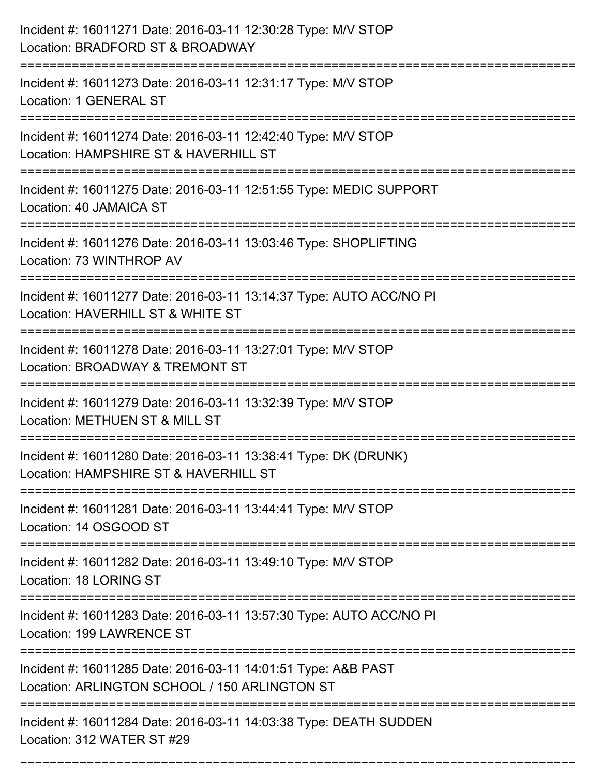| Incident #: 16011271 Date: 2016-03-11 12:30:28 Type: M/V STOP<br>Location: BRADFORD ST & BROADWAY                                                                |
|------------------------------------------------------------------------------------------------------------------------------------------------------------------|
| Incident #: 16011273 Date: 2016-03-11 12:31:17 Type: M/V STOP<br>Location: 1 GENERAL ST                                                                          |
| Incident #: 16011274 Date: 2016-03-11 12:42:40 Type: M/V STOP<br>Location: HAMPSHIRE ST & HAVERHILL ST<br>:=======================                               |
| Incident #: 16011275 Date: 2016-03-11 12:51:55 Type: MEDIC SUPPORT<br>Location: 40 JAMAICA ST                                                                    |
| Incident #: 16011276 Date: 2016-03-11 13:03:46 Type: SHOPLIFTING<br>Location: 73 WINTHROP AV                                                                     |
| Incident #: 16011277 Date: 2016-03-11 13:14:37 Type: AUTO ACC/NO PI<br>Location: HAVERHILL ST & WHITE ST                                                         |
| Incident #: 16011278 Date: 2016-03-11 13:27:01 Type: M/V STOP<br>Location: BROADWAY & TREMONT ST                                                                 |
| Incident #: 16011279 Date: 2016-03-11 13:32:39 Type: M/V STOP<br>Location: METHUEN ST & MILL ST                                                                  |
| Incident #: 16011280 Date: 2016-03-11 13:38:41 Type: DK (DRUNK)<br>Location: HAMPSHIRE ST & HAVERHILL ST                                                         |
| Incident #: 16011281 Date: 2016-03-11 13:44:41 Type: M/V STOP<br>Location: 14 OSGOOD ST<br>====================================<br>============================= |
| Incident #: 16011282 Date: 2016-03-11 13:49:10 Type: M/V STOP<br>Location: 18 LORING ST                                                                          |
| Incident #: 16011283 Date: 2016-03-11 13:57:30 Type: AUTO ACC/NO PI<br>Location: 199 LAWRENCE ST                                                                 |
| Incident #: 16011285 Date: 2016-03-11 14:01:51 Type: A&B PAST<br>Location: ARLINGTON SCHOOL / 150 ARLINGTON ST                                                   |
| Incident #: 16011284 Date: 2016-03-11 14:03:38 Type: DEATH SUDDEN<br>Location: 312 WATER ST #29                                                                  |

===========================================================================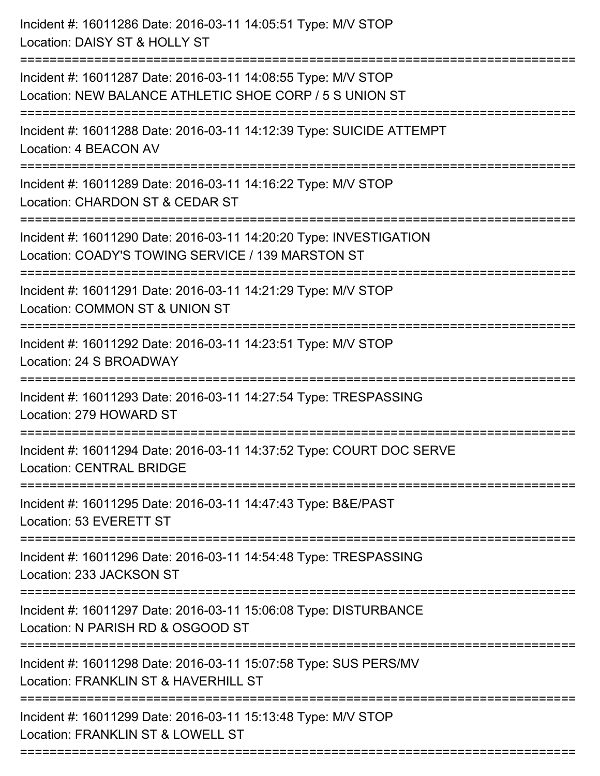| Incident #: 16011286 Date: 2016-03-11 14:05:51 Type: M/V STOP<br>Location: DAISY ST & HOLLY ST<br>===================================== |
|-----------------------------------------------------------------------------------------------------------------------------------------|
| Incident #: 16011287 Date: 2016-03-11 14:08:55 Type: M/V STOP<br>Location: NEW BALANCE ATHLETIC SHOE CORP / 5 S UNION ST                |
| Incident #: 16011288 Date: 2016-03-11 14:12:39 Type: SUICIDE ATTEMPT<br>Location: 4 BEACON AV                                           |
| Incident #: 16011289 Date: 2016-03-11 14:16:22 Type: M/V STOP<br>Location: CHARDON ST & CEDAR ST                                        |
| Incident #: 16011290 Date: 2016-03-11 14:20:20 Type: INVESTIGATION<br>Location: COADY'S TOWING SERVICE / 139 MARSTON ST                 |
| Incident #: 16011291 Date: 2016-03-11 14:21:29 Type: M/V STOP<br>Location: COMMON ST & UNION ST                                         |
| Incident #: 16011292 Date: 2016-03-11 14:23:51 Type: M/V STOP<br>Location: 24 S BROADWAY                                                |
| Incident #: 16011293 Date: 2016-03-11 14:27:54 Type: TRESPASSING<br>Location: 279 HOWARD ST                                             |
| Incident #: 16011294 Date: 2016-03-11 14:37:52 Type: COURT DOC SERVE<br><b>Location: CENTRAL BRIDGE</b>                                 |
| Incident #: 16011295 Date: 2016-03-11 14:47:43 Type: B&E/PAST<br>Location: 53 EVERETT ST                                                |
| Incident #: 16011296 Date: 2016-03-11 14:54:48 Type: TRESPASSING<br>Location: 233 JACKSON ST                                            |
| Incident #: 16011297 Date: 2016-03-11 15:06:08 Type: DISTURBANCE<br>Location: N PARISH RD & OSGOOD ST                                   |
| Incident #: 16011298 Date: 2016-03-11 15:07:58 Type: SUS PERS/MV<br>Location: FRANKLIN ST & HAVERHILL ST                                |
| Incident #: 16011299 Date: 2016-03-11 15:13:48 Type: M/V STOP<br>Location: FRANKLIN ST & LOWELL ST                                      |
|                                                                                                                                         |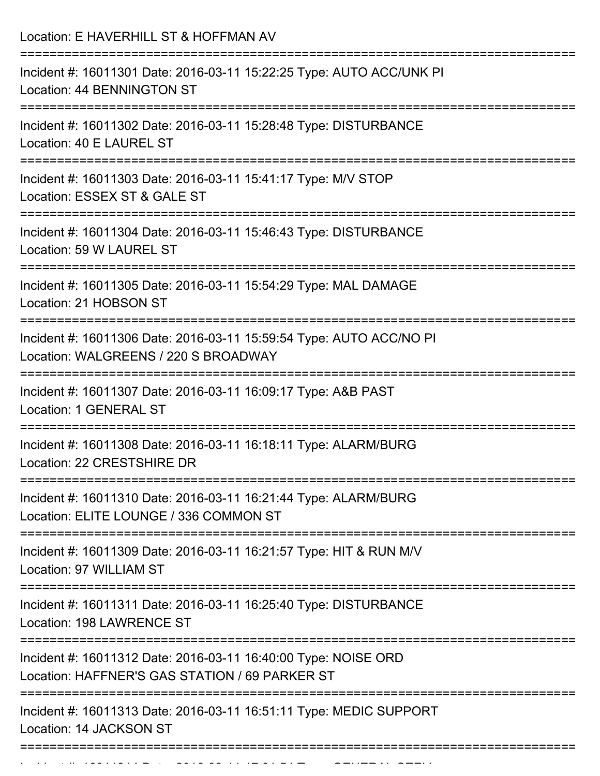| Location: E HAVERHILL ST & HOFFMAN AV                                                                                                      |
|--------------------------------------------------------------------------------------------------------------------------------------------|
| Incident #: 16011301 Date: 2016-03-11 15:22:25 Type: AUTO ACC/UNK PI<br>Location: 44 BENNINGTON ST                                         |
| Incident #: 16011302 Date: 2016-03-11 15:28:48 Type: DISTURBANCE<br>Location: 40 E LAUREL ST                                               |
| Incident #: 16011303 Date: 2016-03-11 15:41:17 Type: M/V STOP<br>Location: ESSEX ST & GALE ST                                              |
| Incident #: 16011304 Date: 2016-03-11 15:46:43 Type: DISTURBANCE<br>Location: 59 W LAUREL ST                                               |
| Incident #: 16011305 Date: 2016-03-11 15:54:29 Type: MAL DAMAGE<br>Location: 21 HOBSON ST<br>---------------------                         |
| Incident #: 16011306 Date: 2016-03-11 15:59:54 Type: AUTO ACC/NO PI<br>Location: WALGREENS / 220 S BROADWAY<br>=========================== |
| Incident #: 16011307 Date: 2016-03-11 16:09:17 Type: A&B PAST<br>Location: 1 GENERAL ST                                                    |
| Incident #: 16011308 Date: 2016-03-11 16:18:11 Type: ALARM/BURG<br>Location: 22 CRESTSHIRE DR                                              |
| Incident #: 16011310 Date: 2016-03-11 16:21:44 Type: ALARM/BURG<br>Location: ELITE LOUNGE / 336 COMMON ST                                  |
| Incident #: 16011309 Date: 2016-03-11 16:21:57 Type: HIT & RUN M/V<br>Location: 97 WILLIAM ST                                              |
| Incident #: 16011311 Date: 2016-03-11 16:25:40 Type: DISTURBANCE<br>Location: 198 LAWRENCE ST                                              |
| Incident #: 16011312 Date: 2016-03-11 16:40:00 Type: NOISE ORD<br>Location: HAFFNER'S GAS STATION / 69 PARKER ST                           |
| Incident #: 16011313 Date: 2016-03-11 16:51:11 Type: MEDIC SUPPORT<br>Location: 14 JACKSON ST                                              |

Incident #: 16011314 Date: 2016 03 11 17:01:54 Type: GENERAL SERVICE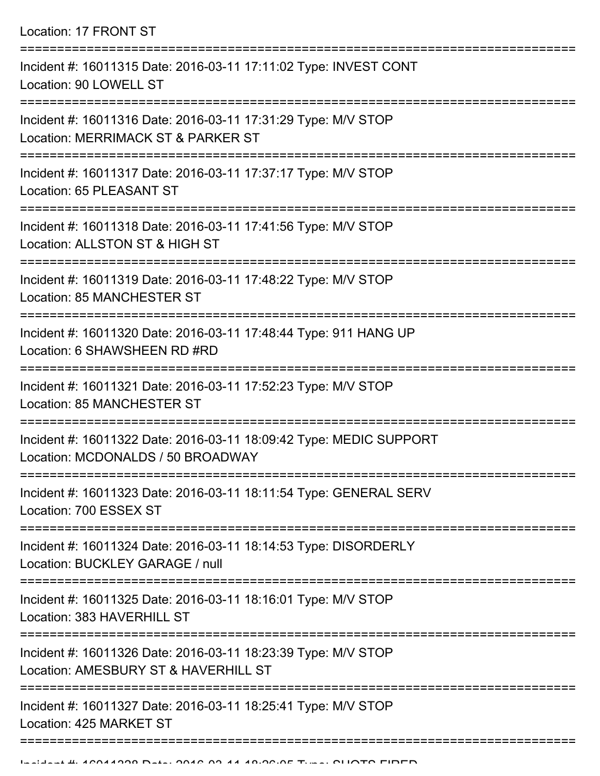Location: 17 FRONT ST

| Incident #: 16011315 Date: 2016-03-11 17:11:02 Type: INVEST CONT<br>Location: 90 LOWELL ST                        |
|-------------------------------------------------------------------------------------------------------------------|
| Incident #: 16011316 Date: 2016-03-11 17:31:29 Type: M/V STOP<br>Location: MERRIMACK ST & PARKER ST               |
| Incident #: 16011317 Date: 2016-03-11 17:37:17 Type: M/V STOP<br>Location: 65 PLEASANT ST                         |
| Incident #: 16011318 Date: 2016-03-11 17:41:56 Type: M/V STOP<br>Location: ALLSTON ST & HIGH ST                   |
| Incident #: 16011319 Date: 2016-03-11 17:48:22 Type: M/V STOP<br>Location: 85 MANCHESTER ST                       |
| Incident #: 16011320 Date: 2016-03-11 17:48:44 Type: 911 HANG UP<br>Location: 6 SHAWSHEEN RD #RD                  |
| Incident #: 16011321 Date: 2016-03-11 17:52:23 Type: M/V STOP<br>Location: 85 MANCHESTER ST                       |
| Incident #: 16011322 Date: 2016-03-11 18:09:42 Type: MEDIC SUPPORT<br>Location: MCDONALDS / 50 BROADWAY           |
| Incident #: 16011323 Date: 2016-03-11 18:11:54 Type: GENERAL SERV<br>Location: 700 ESSEX ST<br>================== |
| Incident #: 16011324 Date: 2016-03-11 18:14:53 Type: DISORDERLY<br>Location: BUCKLEY GARAGE / null                |
| Incident #: 16011325 Date: 2016-03-11 18:16:01 Type: M/V STOP<br>Location: 383 HAVERHILL ST                       |
| Incident #: 16011326 Date: 2016-03-11 18:23:39 Type: M/V STOP<br>Location: AMESBURY ST & HAVERHILL ST             |
| Incident #: 16011327 Date: 2016-03-11 18:25:41 Type: M/V STOP<br>Location: 425 MARKET ST                          |
|                                                                                                                   |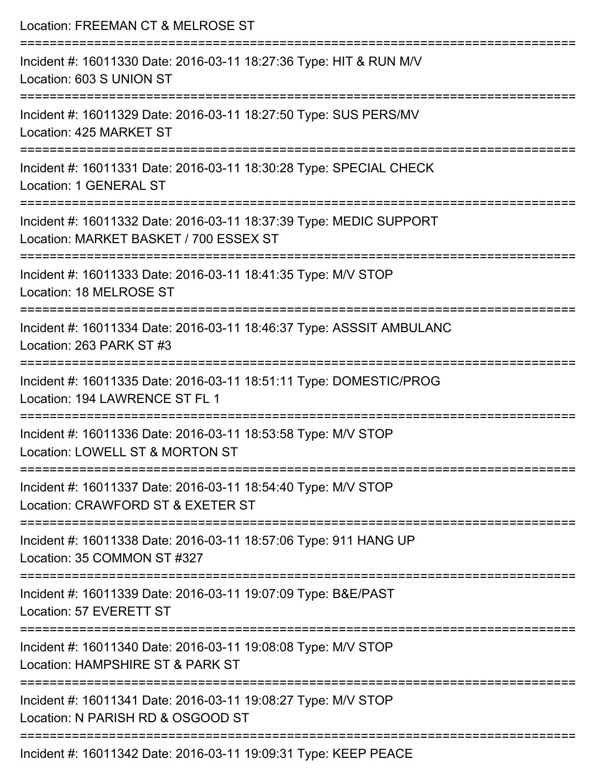| Location: FREEMAN CT & MELROSE ST                                                                                                   |
|-------------------------------------------------------------------------------------------------------------------------------------|
| Incident #: 16011330 Date: 2016-03-11 18:27:36 Type: HIT & RUN M/V<br>Location: 603 S UNION ST                                      |
| Incident #: 16011329 Date: 2016-03-11 18:27:50 Type: SUS PERS/MV<br>Location: 425 MARKET ST                                         |
| Incident #: 16011331 Date: 2016-03-11 18:30:28 Type: SPECIAL CHECK<br>Location: 1 GENERAL ST<br>:================================== |
| Incident #: 16011332 Date: 2016-03-11 18:37:39 Type: MEDIC SUPPORT<br>Location: MARKET BASKET / 700 ESSEX ST                        |
| Incident #: 16011333 Date: 2016-03-11 18:41:35 Type: M/V STOP<br>Location: 18 MELROSE ST                                            |
| Incident #: 16011334 Date: 2016-03-11 18:46:37 Type: ASSSIT AMBULANC<br>Location: 263 PARK ST #3                                    |
| Incident #: 16011335 Date: 2016-03-11 18:51:11 Type: DOMESTIC/PROG<br>Location: 194 LAWRENCE ST FL 1                                |
| Incident #: 16011336 Date: 2016-03-11 18:53:58 Type: M/V STOP<br>Location: LOWELL ST & MORTON ST                                    |
| Incident #: 16011337 Date: 2016-03-11 18:54:40 Type: M/V STOP<br>Location: CRAWFORD ST & EXETER ST                                  |
| Incident #: 16011338 Date: 2016-03-11 18:57:06 Type: 911 HANG UP<br>Location: 35 COMMON ST #327                                     |
| Incident #: 16011339 Date: 2016-03-11 19:07:09 Type: B&E/PAST<br>Location: 57 EVERETT ST                                            |
| ===================<br>Incident #: 16011340 Date: 2016-03-11 19:08:08 Type: M/V STOP<br>Location: HAMPSHIRE ST & PARK ST            |
| Incident #: 16011341 Date: 2016-03-11 19:08:27 Type: M/V STOP<br>Location: N PARISH RD & OSGOOD ST                                  |
| Incident #: 16011342 Date: 2016-03-11 19:09:31 Type: KEEP PEACE                                                                     |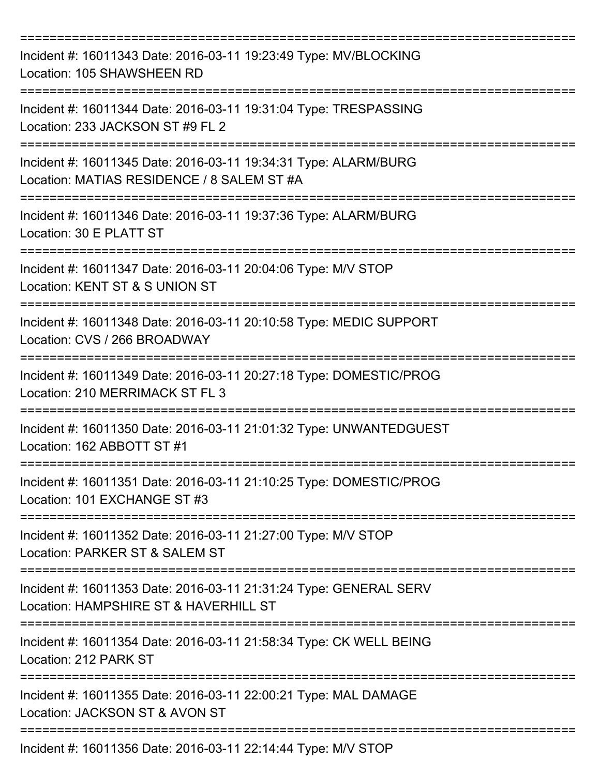| Incident #: 16011343 Date: 2016-03-11 19:23:49 Type: MV/BLOCKING<br>Location: 105 SHAWSHEEN RD                                      |
|-------------------------------------------------------------------------------------------------------------------------------------|
| Incident #: 16011344 Date: 2016-03-11 19:31:04 Type: TRESPASSING<br>Location: 233 JACKSON ST #9 FL 2                                |
| Incident #: 16011345 Date: 2016-03-11 19:34:31 Type: ALARM/BURG<br>Location: MATIAS RESIDENCE / 8 SALEM ST #A<br>================== |
| Incident #: 16011346 Date: 2016-03-11 19:37:36 Type: ALARM/BURG<br>Location: 30 E PLATT ST                                          |
| ==========================<br>Incident #: 16011347 Date: 2016-03-11 20:04:06 Type: M/V STOP<br>Location: KENT ST & S UNION ST       |
| Incident #: 16011348 Date: 2016-03-11 20:10:58 Type: MEDIC SUPPORT<br>Location: CVS / 266 BROADWAY                                  |
| Incident #: 16011349 Date: 2016-03-11 20:27:18 Type: DOMESTIC/PROG<br>Location: 210 MERRIMACK ST FL 3                               |
| Incident #: 16011350 Date: 2016-03-11 21:01:32 Type: UNWANTEDGUEST<br>Location: 162 ABBOTT ST #1                                    |
| Incident #: 16011351 Date: 2016-03-11 21:10:25 Type: DOMESTIC/PROG<br>Location: 101 EXCHANGE ST #3                                  |
| Incident #: 16011352 Date: 2016-03-11 21:27:00 Type: M/V STOP<br>Location: PARKER ST & SALEM ST                                     |
| Incident #: 16011353 Date: 2016-03-11 21:31:24 Type: GENERAL SERV<br>Location: HAMPSHIRE ST & HAVERHILL ST                          |
| Incident #: 16011354 Date: 2016-03-11 21:58:34 Type: CK WELL BEING<br>Location: 212 PARK ST                                         |
| Incident #: 16011355 Date: 2016-03-11 22:00:21 Type: MAL DAMAGE<br>Location: JACKSON ST & AVON ST                                   |
| Incident #: 16011356 Date: 2016-03-11 22:14:44 Type: M/V STOP                                                                       |